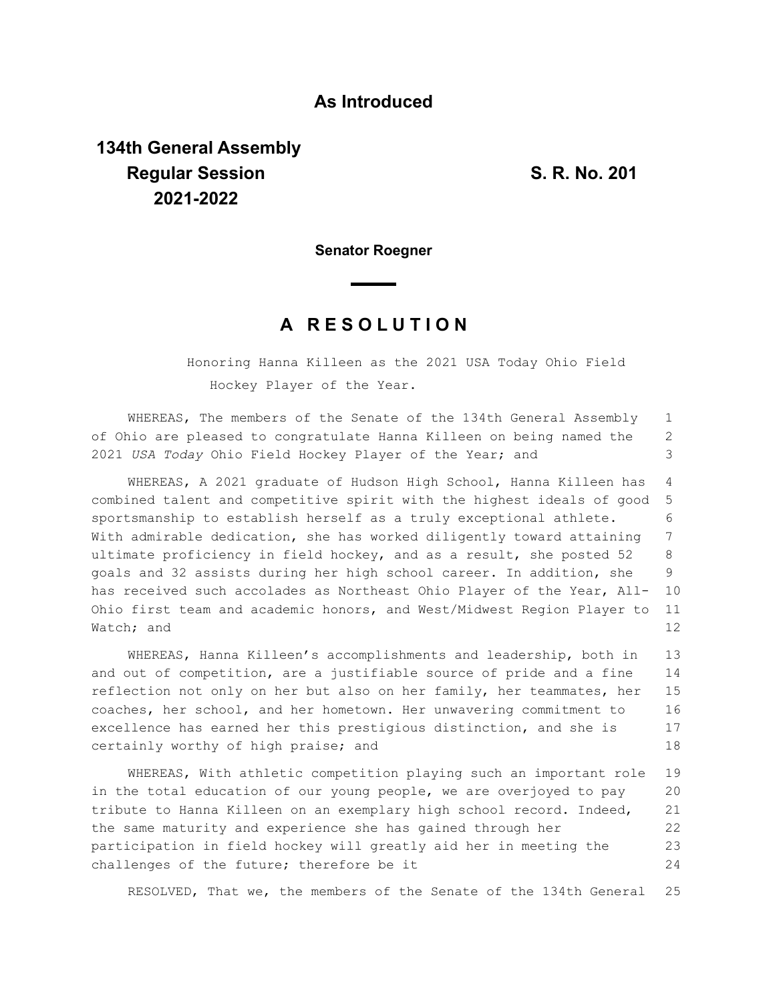## **As Introduced**

## **134th General Assembly Regular Session S. R. No. 201 2021-2022**

**Senator Roegner**

## **A R E S O L U T I O N**

Honoring Hanna Killeen as the 2021 USA Today Ohio Field Hockey Player of the Year.

WHEREAS, The members of the Senate of the 134th General Assembly of Ohio are pleased to congratulate Hanna Killeen on being named the 2021 *USA Today* Ohio Field Hockey Player of the Year; and 1 2 3

WHEREAS, A 2021 graduate of Hudson High School, Hanna Killeen has combined talent and competitive spirit with the highest ideals of good sportsmanship to establish herself as a truly exceptional athlete. With admirable dedication, she has worked diligently toward attaining ultimate proficiency in field hockey, and as a result, she posted 52 goals and 32 assists during her high school career. In addition, she has received such accolades as Northeast Ohio Player of the Year, All-Ohio first team and academic honors, and West/Midwest Region Player to Watch; and 4 5 6 7 8 9 10 11 12

WHEREAS, Hanna Killeen's accomplishments and leadership, both in and out of competition, are a justifiable source of pride and a fine reflection not only on her but also on her family, her teammates, her coaches, her school, and her hometown. Her unwavering commitment to excellence has earned her this prestigious distinction, and she is certainly worthy of high praise; and 13 14 15 16 17 18

WHEREAS, With athletic competition playing such an important role in the total education of our young people, we are overjoyed to pay tribute to Hanna Killeen on an exemplary high school record. Indeed, the same maturity and experience she has gained through her participation in field hockey will greatly aid her in meeting the challenges of the future; therefore be it 19 20 21 22 23 24

RESOLVED, That we, the members of the Senate of the 134th General 25